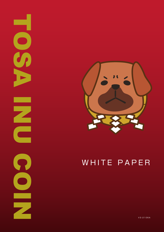

NOSA INUS

 $\Omega$ 

m

 $\bullet$ 

U

E

### WHITE PAPER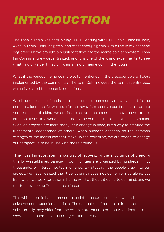### *INTRODUCTION*

The Tosa Inu coin was born in May 2021. Starting with DOGE coin,Shiba Inu coin, Akita Inu coin, Kishu dog coin, and other emerging coin with a lineup of Japanese dog breeds have brought a significant flow into the meme coin ecosystem. Tosa Inu Coin is entirely decentralized, and it is one of the grand experiments to see what kind of value it may bring as a kind of meme coin in the future.

What if the various meme coin projects mentioned in the precedent were 100% implemented by the community? The term DeFi includes the term decentralized, which is related to economic conditions.

Which underlies the foundation of the project community's involvement is the pristine wilderness. As we move further away from our rigorous financial structure and traditional thinking, we are free to solve problems and discover new, interrelated solutions. In a world dominated by the commercialization of time, community-driven projects are more than just a change in pace, but a way to practice the fundamental acceptance of others. When success depends on the common strength of the individuals that make up the collective, we are forced to change our perspective to be in line with those around us.

 The Tosa Inu ecosystem is our way of recognizing the importance of breaking this long-established paradigm. Communities are organized by hundreds, if not thousands, of interconnected moments. By studying the people drawn to our project, we have realized that true strength does not come from us alone, but from when we work together in harmony. That thought came to our mind, and we started developing Tosa Inu coin in earnest.

This whitepaper is based on and takes into account certain known and unknown contingencies and risks. The estimation of results, or in fact and substantially, may differ from the notable statements or results estimated or expressed in such forward-looking statements here.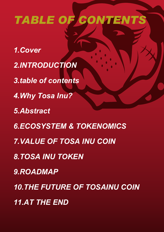# *TABLE OF CONTENTS*

- *1.Cover 2.INTRODUCTION 3.table of contents 4.Why Tosa Inu? 5.Abstract 6.ECOSYSTEM & TOKENOMICS 7.VALUE OF TOSA INU COIN 8.TOSA INU TOKEN*
- *9.ROADMAP*
- *10.THE FUTURE OF TOSAINU COIN*
- *11.AT THE END*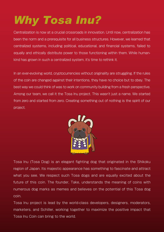## *Why Tosa Inu?*

Centralization is now at a crucial crossroads in innovation. Until now, centralization has been the norm and a prerequisite for all business structures. However, we learned that centralized systems, including political, educational, and financial systems, failed to equally and ethically distribute power to those functioning within them. While humankind has grown in such a centralized system, it's time to rethink it.

In an ever-evolving world, cryptocurrencies without originality are struggling. If the rules of the coin are changed against their intentions, they have no choice but to obey. The best way we could think of was to work on community building from a fresh perspective. Among our team, we call it the Tosa Inu project. This wasn't just a name. We started from zero and started from zero. Creating something out of nothing is the spirit of our project.



Tosa Inu (Tosa Dog) is an elegant fighting dog that originated in the Shikoku region of Japan. Its majestic appearance has something to fascinate and attract what you see. We respect such Tosa dogs and are equally excited about the future of this coin. The founder, Take, understands the meaning of coins with numerous dog marks as memes and believes on the potential of this Tosa dog coin.

Tosa Inu project is lead by the world-class developers, designers, moderators, marketers, and Schiller, working together to maximize the positive impact that Tosa Inu Coin can bring to the world.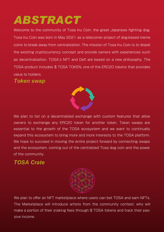### *ABSTRACT*

Welcome to the community of Tosa Inu Coin, the great Japanese fighting dog. Tosa Inu Coin was born in May 2021 as a latecomer project of dog-based meme coins to break away from centralization. The mission of Tosa Inu Coin is to dispel the existing cryptocurrency concept and provide owners with experiences such as decentralization. TOSA's NFT and Defi are based on a new philosophy. The TOSA product includes \$ TOSA TOKEN, one of the ERC20 tokens that provides value to holders.

#### *Token swap*



We plan to list on a decentralized exchange with custom features that allow owners to exchange any ERC20 token for another token. Token swaps are essential to the growth of the TOSA ecosystem and we want to continually expand this ecosystem to bring more and more interests to the TOSA platform. We hope to succeed in moving the entire project forward by connecting swaps and the ecosystem, coming out of the centralized Tosa dog coin and the power of the community.

### *TOSA Crate*



We plan to offer an NFT marketplace where users can bet TOSA and earn NFTs. The Marketplace will introduce artists from the community contest, who will make a portion of their staking fees through \$TOSA tokens and track their passive income.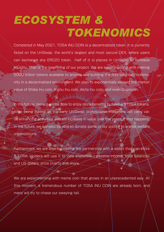### *ECOSYSTEM & TOKENOMICS*

Completed in May 2021, TOSA INU COIN is a decentralized token. It is currently listed on the UniSwap, the world's largest and most secure DEX, where users can exchange any ERC20 token. Half of it is placed in UniSwap to increase liquidity. That is the beginning of our project. We are experimenting with making 5000 trillion tokens available to anyone and building the first voluntary community in a decentralized environment. We plan to exponentially exceed the market value of Shiba Inu coin, Kishu Inu coin, Akita Inu coin, and even Dogecoin.

In the future, owners will be able to enjoy more benefits by having \$TOSA tokens. After being traded on the early UniSwap, professional marketers will carry value-enhancing activities and will increase in value over the years. If that happens, in the future, we will also be able to donate some of our profits to animal welfare organizations.

Furthermore, we are also increasing the partnership with a wallet that can store \$ TOSA. Holders will use it to view statistics / passive income, total balances and US dollars, price charts and, more.

We are experimenting with meme coin that grows in an unprecedented way. At this moment, a tremendous number of TOSA INU COIN are already born, and many will try to chase our swaying tail.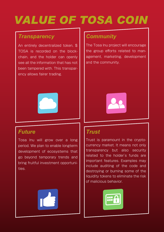# *VALUE OF TOSA COIN*

#### *Transparency*

An entirely decentralized token, \$ TOSA is recorded on the blockchain, and the holder can openly see all the information that has not been tampered with. This transparency allows fairer trading.



### *Future*

Tosa Inu will grow over a long period. We plan to enable longterm development of ecosystems that go beyond temporary trends and bring fruitful investment opportunities.



### *Community*

The Tosa Inu project will encourage the group efforts related to management, marketing, development and the community.



### *Trust*

Trust is paramount in the cryptocurrency market. It means not only transparency but also security related to the holder's funds are important features. Examples may include auditing of the code and destroying or burning some of the liquidity tokens to eliminate the risk of malicious behavior.

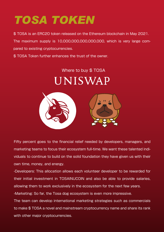### *TOSA TOKEN*

\$ TOSA is an ERC20 token released on the Ethereum blockchain in May 2021.

The maximum supply is 10,000,000,000,000,000, which is very large compared to existing cryptocurrencies.

\$ TOSA Token further enhances the trust of the owner.

# Where to buy \$TOSA UNISWAP



Fifty percent goes to the financial relief needed by developers, managers, and marketing teams to focus their ecosystem full-time. We want these talented individuals to continue to build on the solid foundation they have given us with their own time, money, and energy.

-Developers: This allocation allows each volunteer developer to be rewarded for their initial investment in TOSAINUCOIN and also be able to provide salaries, allowing them to work exclusively in the ecosystem for the next few years.

-Marketing: So far, the Tosa dog ecosystem is even more impressive.

The team can develop international marketing strategies such as commercials to make \$ TOSA a novel and mainstream cryptocurrency name and share its rank with other major cryptocurrencies.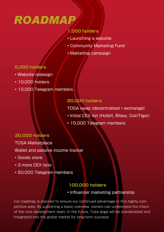### *ROADMAP*

#### **1,000 holders**

- Launching a website
- Community Marketing Fund
- Marketing campaign

#### **5,000 holders**

- Website redesign
- 10,000 holders
- 10,000 Telegram members

#### **20,000 holders**

TOSA swap (decentralized • exchange)

- Initial CEX list (Hotbit, Bilaxy, CoinTiger)
- 15,000 Telegram members

#### **30,000 holders**

TOSA Marketplace

Wallet and passive income tracker

- Goods store
- 3 more CEX lists
- 50,000 Telegram members

#### **100,000 holders**

• Influencer marketing partnership

Our roadmap is planned to ensure our continued advantage in this highly competitive area. By publishing a basic overview, owners can understand the intent of the core development team. In the future, Tosa dogs will be standardized and integrated into the global market for long-term success.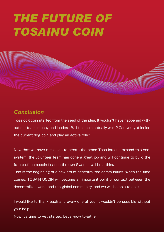### *THE FUTURE OF TOSAINU COIN*

### *Conclusion*

Tosa dog coin started from the seed of the idea. It wouldn't have happened without our team, money and leaders. Will this coin actually work? Can you get inside the current dog coin and play an active role?

Now that we have a mission to create the brand Tosa Inu and expand this ecosystem, the volunteer team has done a great job and will continue to build the future of memecoin finance through Swap. It will be a thing.

This is the beginning of a new era of decentralized communities. When the time comes, TOSAIN UCOIN will become an important point of contact between the decentralized world and the global community, and we will be able to do it.

I would like to thank each and every one of you. It wouldn't be possible without your help.

Now it's time to get started. Let's grow together